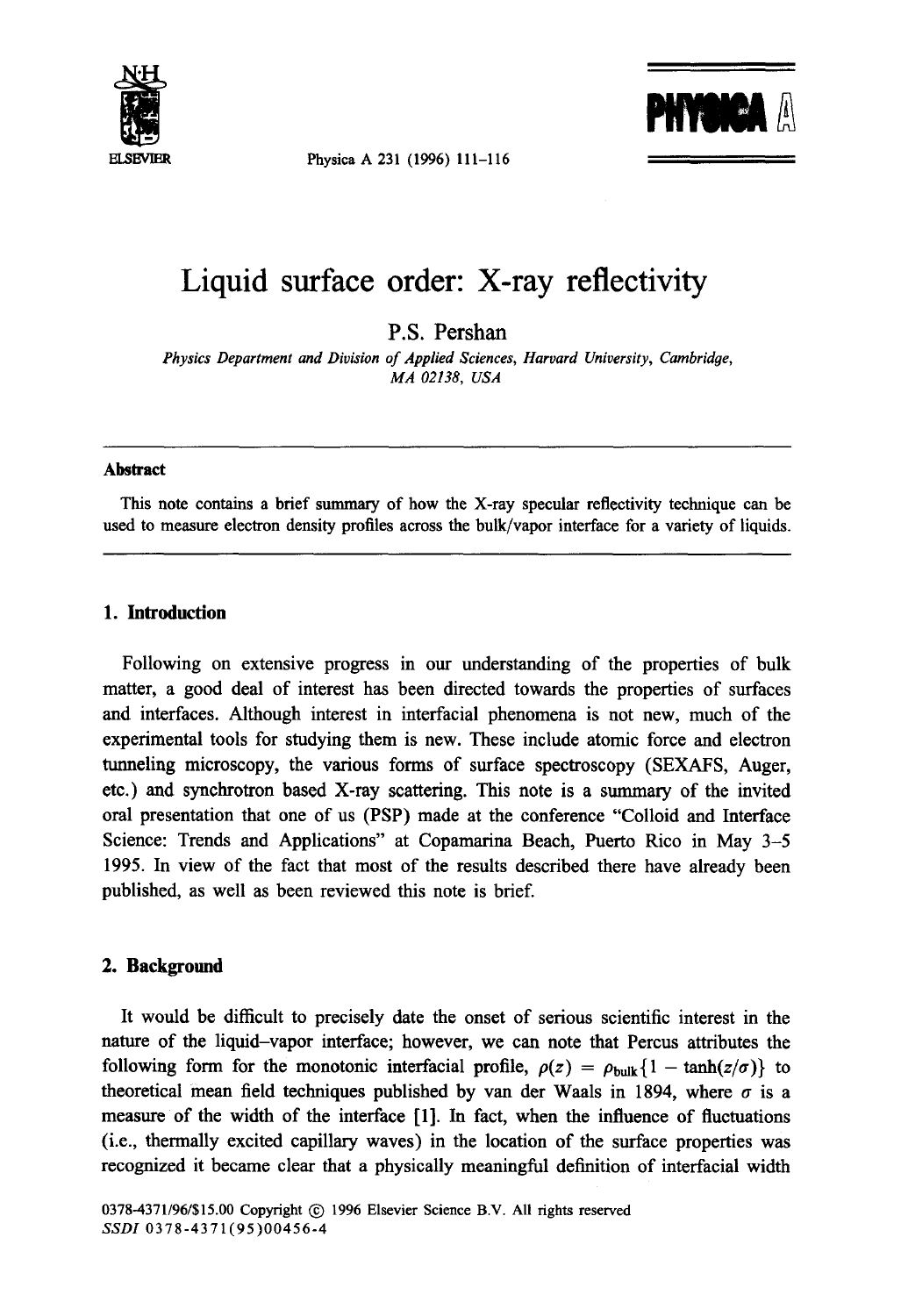

Physica A 231 (1996) 111-116



# **Liquid surface order: X-ray reflectivity**

P.S. Pershan

*Physics Department and Division of Applied Sciences, Harvard University, Cambridge, MA 02138, USA* 

### **Abstract**

This note contains a brief summary of how the X-ray specular reflectivity technique can be used to measure electron density profiles across the bulk/vapor interface for a variety of liquids.

## **1. Introduction**

Following on extensive progress in our understanding of the properties of bulk matter, a good deal of interest has been directed towards the properties of surfaces and interfaces. Although interest in interfacial phenomena is not new, much of the experimental tools for studying them is new. These include atomic force and electron tunneling microscopy, the various forms of surface spectroscopy (SEXAFS, Auger, etc.) and synchrotron based X-ray scattering. This note is a summary of the invited oral presentation that one of us (PSP) made at the conference "Colloid and Interface Science: Trends and Applications" at Copamarina Beach, Puerto Rico in May 3-5 1995. In view of the fact that most of the results described there have already been published, as well as been reviewed this note is brief.

## **2. Background**

It would be difficult to precisely date the onset of serious scientific interest in the nature of the liquid-vapor interface; however, we can note that Percus attributes the following form for the monotonic interfacial profile,  $\rho(z) = \rho_{\text{bulk}}\{1 - \tanh(z/\sigma)\}\)$  to theoretical mean field techniques published by van der Waals in 1894, where  $\sigma$  is a measure of the width of the interface [1]. In fact, when the influence of fluctuations (i.e., thermally excited capillary waves) in the location of the surface properties was recognized it became clear that a physically meaningful definition of interfacial width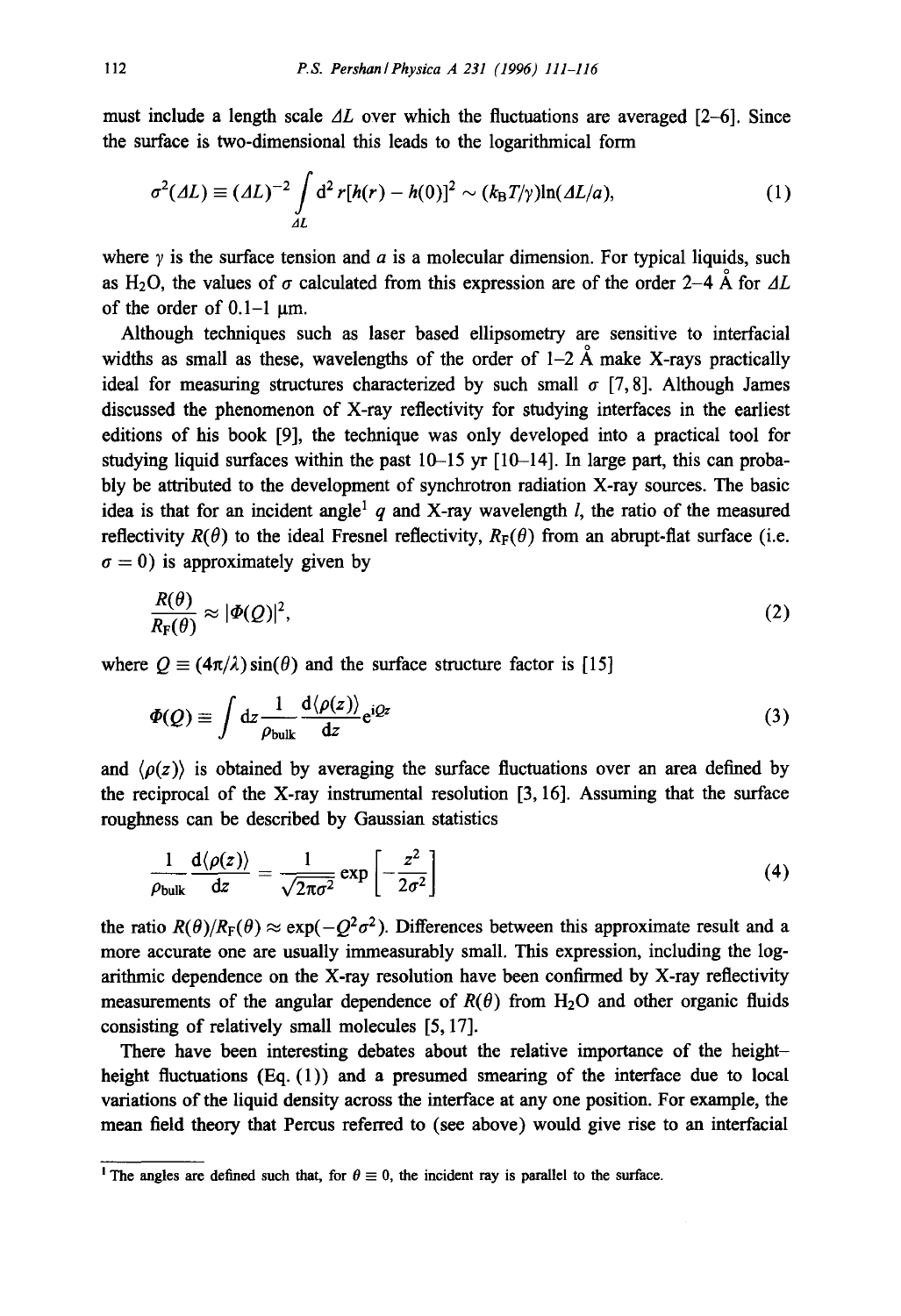must include a length scale  $\Delta L$  over which the fluctuations are averaged [2-6]. Since the surface is two-dimensional this leads to the logarithmical form

$$
\sigma^2(\Delta L) \equiv (\Delta L)^{-2} \int_{\Delta L} d^2 r [h(r) - h(0)]^2 \sim (k_\text{B} T/\gamma) \ln(\Delta L/a), \tag{1}
$$

where  $\gamma$  is the surface tension and a is a molecular dimension. For typical liquids, such as H<sub>2</sub>O, the values of  $\sigma$  calculated from this expression are of the order 2-4 Å for  $\Delta L$ of the order of  $0.1-1 \text{ }\mu\text{m}$ .

Although techniques such as laser based ellipsometry are sensitive to interracial widths as small as these, wavelengths of the order of  $1-2$  Å make X-rays practically ideal for measuring structures characterized by such small  $\sigma$  [7, 8]. Although James discussed the phenomenon of X-ray reflectivity for studying interfaces in the earliest editions of his book [9], the technique was only developed into a practical tool for studying liquid surfaces within the past  $10-15$  yr  $[10-14]$ . In large part, this can probably be attributed to the development of synchrotron radiation X-ray sources. The basic idea is that for an incident angle<sup>1</sup> q and X-ray wavelength  $l$ , the ratio of the measured reflectivity  $R(\theta)$  to the ideal Fresnel reflectivity,  $R_F(\theta)$  from an abrupt-flat surface (i.e.  $\sigma = 0$ ) is approximately given by

$$
\frac{R(\theta)}{R_{\rm F}(\theta)} \approx |\Phi(Q)|^2,\tag{2}
$$

where  $Q = (4\pi/\lambda)\sin(\theta)$  and the surface structure factor is [15]

$$
\Phi(Q) \equiv \int \mathrm{d}z \frac{1}{\rho_{\text{bulk}}} \frac{\mathrm{d}\langle \rho(z) \rangle}{\mathrm{d}z} e^{\mathrm{i}Qz} \tag{3}
$$

and  $\langle \rho(z) \rangle$  is obtained by averaging the surface fluctuations over an area defined by the reciprocal of the X-ray instrumental resolution [3, 16]. Assuming that the surface roughness can be described by Gaussian statistics

$$
\frac{1}{\rho_{\text{bulk}}}\frac{d\langle\rho(z)\rangle}{dz} = \frac{1}{\sqrt{2\pi\sigma^2}}\exp\left[-\frac{z^2}{2\sigma^2}\right]
$$
(4)

the ratio  $R(\theta)/R_F(\theta) \approx \exp(-O^2\sigma^2)$ . Differences between this approximate result and a more accurate one are usually immeasurably small. This expression, including the logarithmic dependence on the X-ray resolution have been confirmed by X-ray reflectivity measurements of the angular dependence of  $R(\theta)$  from H<sub>2</sub>O and other organic fluids consisting of relatively small molecules [5, 17].

There have been interesting debates about the relative importance of the heightheight fluctuations (Eq. (1)) and a presumed smearing of the interface due to local variations of the liquid density across the interface at any one position. For example, the mean field theory that Pereus referred to (see above) would give rise to an interracial

<sup>&</sup>lt;sup>1</sup> The angles are defined such that, for  $\theta \equiv 0$ , the incident ray is parallel to the surface.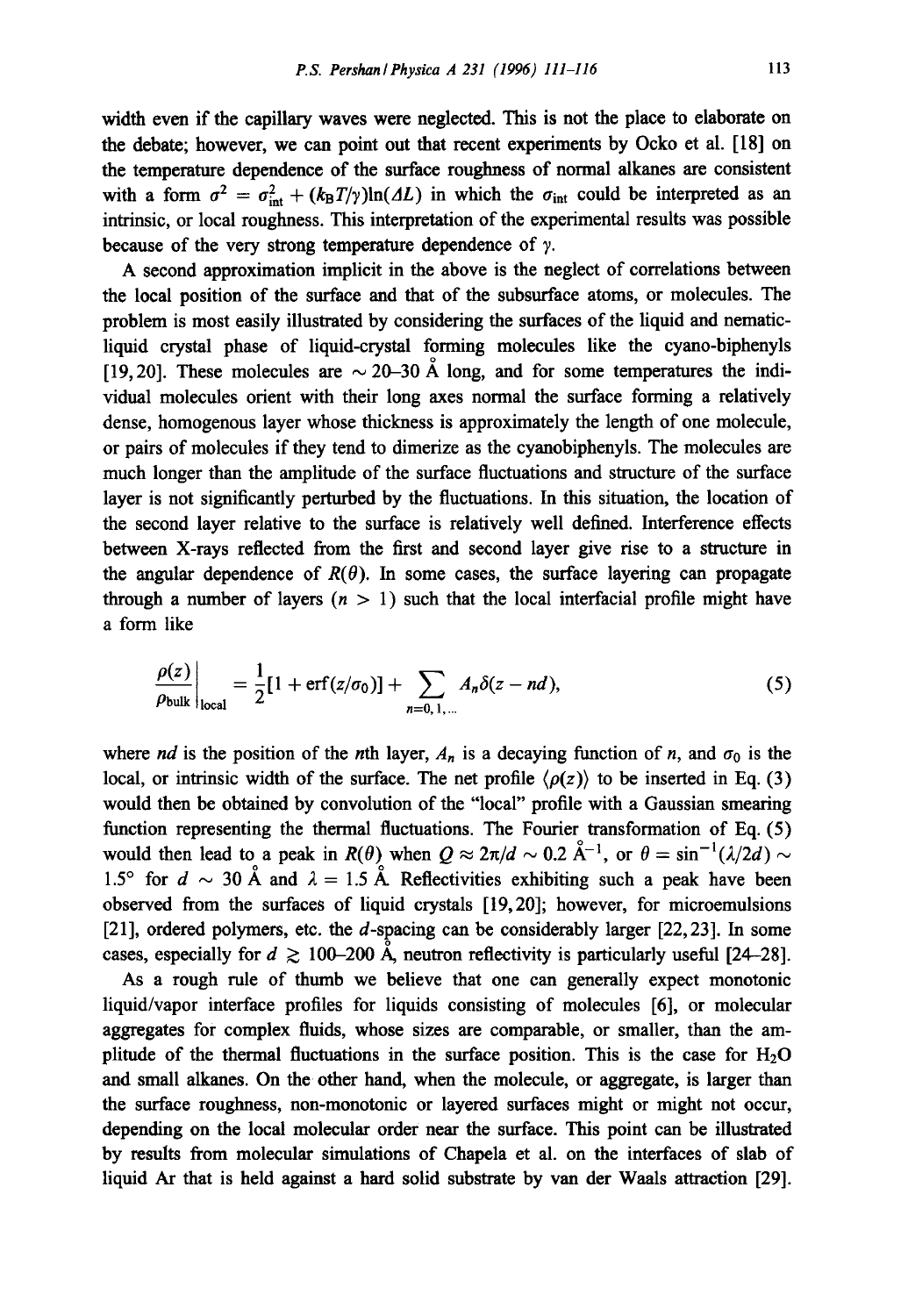width even if the capillary waves were neglected. This is not the place to elaborate on the debate; however, we can point out that recent experiments by Ocko et al. [18] on the temperature dependence of the surface roughness of normal alkanes are consistent with a form  $\sigma^2 = \sigma_{int}^2 + (k_B T/\gamma) \ln(\Delta L)$  in which the  $\sigma_{int}$  could be interpreted as an intrinsic, or local roughness. This interpretation of the experimental results was possible because of the very strong temperature dependence of  $\gamma$ .

A second approximation implicit in the above is the neglect of correlations between the local position of the surface and that of the subsurface atoms, or molecules. The problem is most easily illustrated by considering the surfaces of the liquid and nematicliquid crystal phase of liquid-crystal forming molecules like the cyano-biphenyls [19,20]. These molecules are  $\sim$  20–30 Å long, and for some temperatures the individual molecules orient with their long axes normal the surface forming a relatively dense, homogenous layer whose thickness is approximately the length of one molecule, or pairs of molecules if they tend to dimerize as the cyanobiphenyls. The molecules are much longer than the amplitude of the surface fluctuations and structure of the surface layer is not significantly perturbed by the fluctuations. In this situation, the location of the second layer relative to the surface is relatively well defined. Interference effects between X-rays reflected from the first and second layer give rise to a structure in the angular dependence of  $R(\theta)$ . In some cases, the surface layering can propagate through a number of layers  $(n > 1)$  such that the local interfacial profile might have a form like

$$
\frac{\rho(z)}{\rho_{\text{bulk}}}\bigg|_{\text{local}} = \frac{1}{2} [1 + \text{erf}(z/\sigma_0)] + \sum_{n=0, 1, ...} A_n \delta(z - nd), \tag{5}
$$

where *nd* is the position of the *n*th layer,  $A_n$  is a decaying function of *n*, and  $\sigma_0$  is the local, or intrinsic width of the surface. The net profile  $\langle \rho(z) \rangle$  to be inserted in Eq. (3) would then be obtained by convolution of the "local" profile with a Gaussian smearing function representing the thermal fluctuations. The Fourier transformation of Eq. (5) would then lead to a peak in  $R(\theta)$  when  $Q \approx 2\pi/d \sim 0.2 \text{ Å}^{-1}$ , or  $\theta = \sin^{-1}(\lambda/2d) \sim$ 1.5° for  $d \sim 30$  Å and  $\lambda = 1.5$  Å. Reflectivities exhibiting such a peak have been observed from the surfaces of liquid crystals [19,20]; however, for microemulsions [21], ordered polymers, etc. the  $d$ -spacing can be considerably larger [22, 23]. In some cases, especially for  $d \ge 100-200$  Å, neutron reflectivity is particularly useful [24-28].

As a rough rule of thumb we believe that one can generally expect monotonic liquid/vapor interface profiles for liquids consisting of molecules [6], or molecular aggregates for complex fluids, whose sizes are comparable, or smaller, than the amplitude of the thermal fluctuations in the surface position. This is the case for  $H_2O$ and small alkanes. On the other hand, when the molecule, or aggregate, is larger than the surface roughness, non-monotonic or layered surfaces might or might not occur, depending on the local molecular order near the surface. This point can be illustrated by results from molecular simulations of Chapela et al. on the interfaces of slab of liquid Ar that is held against a hard solid substrate by van der Waals attraction [29].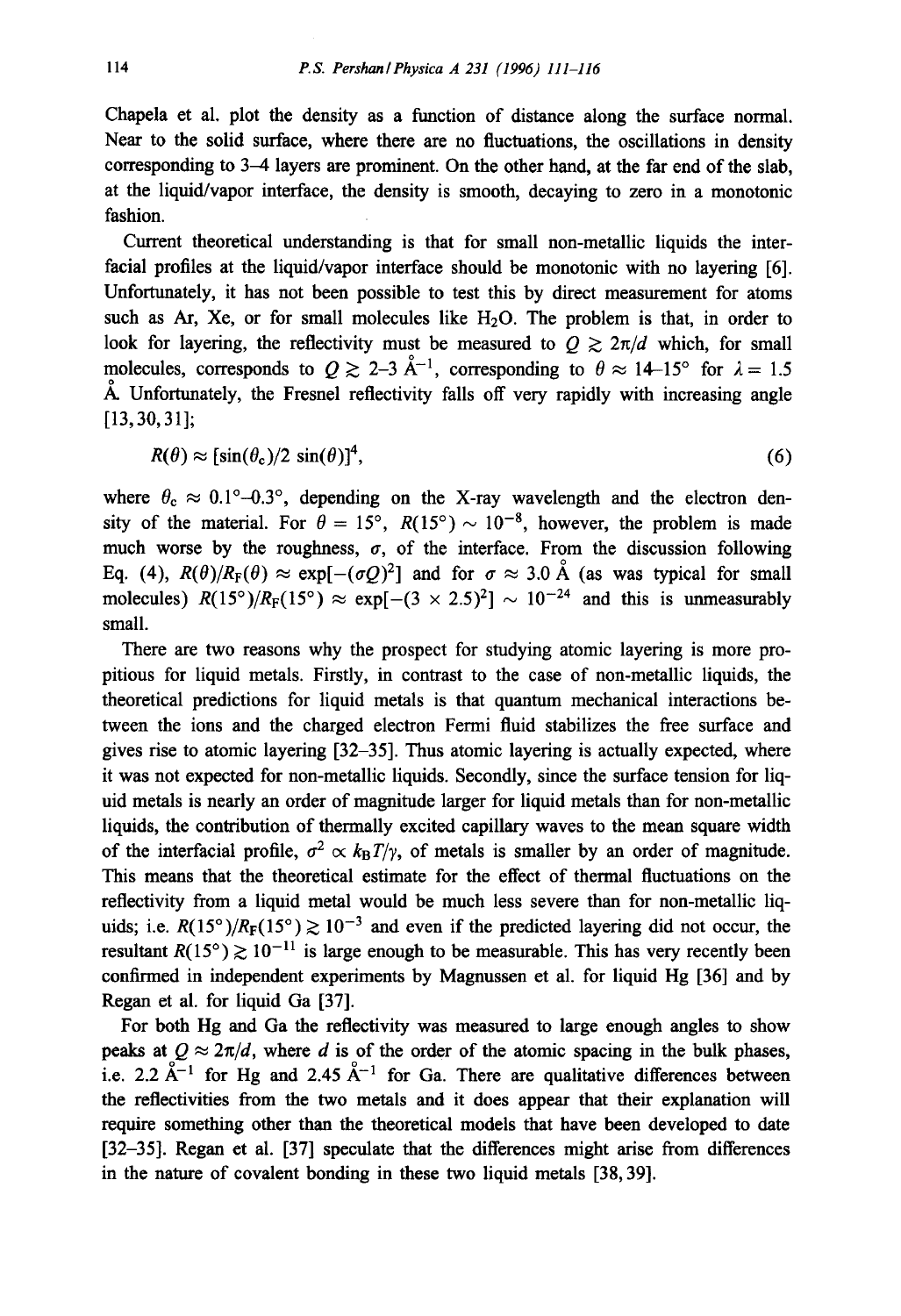Chapela et al. plot the density as a function of distance along the surface normal. Near to the solid surface, where there are no fluctuations, the oscillations in density corresponding to 3-4 layers are prominent. On the other hand, at the far end of the slab, at the liquid/vapor interface, the density is smooth, decaying to zero in a monotonic fashion.

Current theoretical understanding is that for small non-metallic liquids the interfacial profiles at the liquid/vapor interface should be monotonic with no layering [6]. Unfortunately, it has not been possible to test this by direct measurement for atoms such as Ar, Xe, or for small molecules like  $H<sub>2</sub>O$ . The problem is that, in order to look for layering, the reflectivity must be measured to  $Q \geq 2\pi/d$  which, for small molecules, corresponds to  $Q \ge 2-3 \text{ Å}^{-1}$ , corresponding to  $\theta \approx 14-15^{\circ}$  for  $\lambda = 1.5$  $\AA$ . Unfortunately, the Fresnel reflectivity falls off very rapidly with increasing angle [13,30,31];

$$
R(\theta) \approx [\sin(\theta_{\rm c})/2 \sin(\theta)]^4, \tag{6}
$$

where  $\theta_c \approx 0.1^{\circ} - 0.3^{\circ}$ , depending on the X-ray wavelength and the electron density of the material. For  $\theta = 15^{\circ}$ ,  $R(15^{\circ}) \sim 10^{-8}$ , however, the problem is made much worse by the roughness,  $\sigma$ , of the interface. From the discussion following Eq. (4),  $R(\theta)/R_F(\theta) \approx \exp[-(\sigma Q)^2]$  and for  $\sigma \approx 3.0$  Å (as was typical for small molecules)  $R(15^{\circ})/R_F(15^{\circ}) \approx \exp[-(3 \times 2.5)^2] \sim 10^{-24}$  and this is unmeasurably small.

There are two reasons why the prospect for studying atomic layering is more propitious for liquid metals. Firstly, in contrast to the case of non-metallic liquids, the theoretical predictions for liquid metals is that quantum mechanical interactions between the ions and the charged electron Fermi fluid stabilizes the free surface and gives rise to atomic layering [32-35]. Thus atomic layering is actually expected, where it was not expected for non-metallic liquids. Secondly, since the surface tension for liquid metals is nearly an order of magnitude larger for liquid metals than for non-metallic liquids, the contribution of thermally excited capillary waves to the mean square width of the interfacial profile,  $\sigma^2 \propto k_B T/\gamma$ , of metals is smaller by an order of magnitude. This means that the theoretical estimate for the effect of thermal fluctuations on the reflectivity from a liquid metal would be much less severe than for non-metallic liquids; i.e.  $R(15^{\circ})/R_F(15^{\circ}) \ge 10^{-3}$  and even if the predicted layering did not occur, the resultant  $R(15^{\circ}) \ge 10^{-11}$  is large enough to be measurable. This has very recently been confirmed in independent experiments by Magnussen et al. for liquid Hg [36] and by Regan et al. for liquid Ga [37].

For both Hg and Ga the reflectivity was measured to large enough angles to show peaks at  $Q \approx 2\pi/d$ , where d is of the order of the atomic spacing in the bulk phases, i.e. 2.2  $\AA^{-1}$  for Hg and 2.45  $\AA^{-1}$  for Ga. There are qualitative differences between the reflectivities from the two metals and it does appear that their explanation will require something other than the theoretical models that have been developed to date [32-35]. Regan et al. [37] speculate that the differences might arise from differences in the nature of covalent bonding in these two liquid metals [38, 39].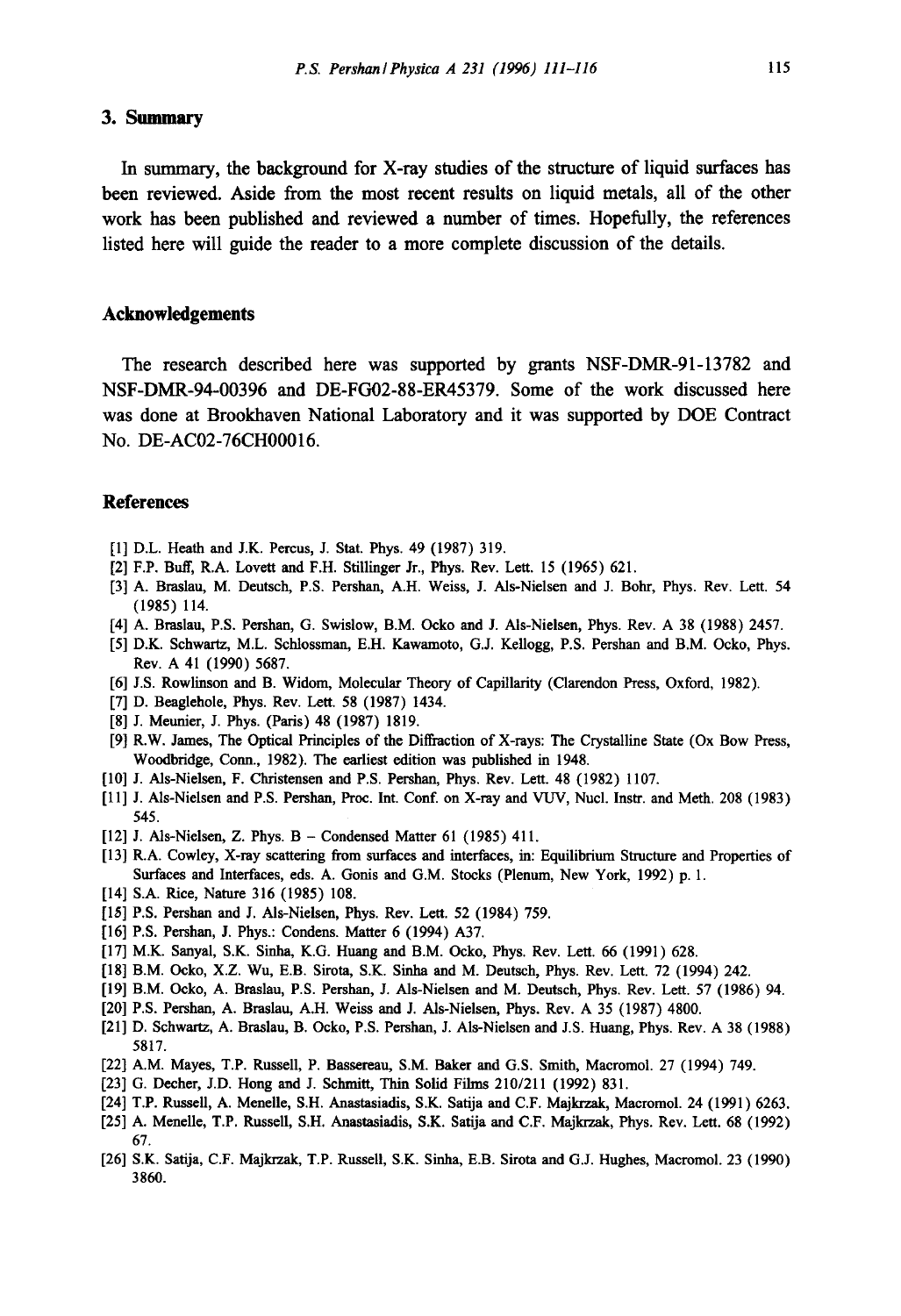### **3. Summary**

**In summary, the background for X-ray studies of the structure of liquid surfaces has been reviewed. Aside from the most recent results on liquid metals, all of the other work has been published and reviewed a number of times. Hopefully, the references listed here will guide the reader to a more complete discussion of the details.** 

#### **Acknowledgements**

**The research described here was supported by grants NSF-DMR-91-13782 and NSF-DMR-94-O0396 and DE-FG02-88-ER45379. Some of the work discussed here was done at Brookhaven National Laboratory and it was supported by DOE Contract No. DE-AC02-76CH00016.** 

## **References**

- [1] D.L. Heath and J.K. Percus, J. Stat. Phys. 49 (1987) 319.
- [2] F.P. Buff, R.A. Lovett and F.H. Stillinger Jr., Phys. Rev. Lett. 15 (1965) 621.
- [3] A. Braslau, M. Deutsch, P.S. Pershan, A.H. Weiss, L Als-Nielsen and J. Bohr, Phys. Rev. Lett. 54 (1985) 114.
- [4] A. Braslau, P.S. Pershan, G. Swislow, B.M. Ocko and J. AIs-Nielsen, Phys. Rev. A 38 (1988) 2457.
- [5] D.K. Schwartz, M.L. Schlossman, E.H. Kawamoto, G.J. Kellogg, P.S. Pershan and B.M. Ocko, Phys. Rev. A 41 (1990) 5687.
- [6] J.S. Rowlinson and B. Widom, Molecular Theory of Capillarity (Clarendon Press, Oxford, 1982).
- [7] D. Beaglehole, Phys. Rev. Lett. 58 (1987) 1434.
- [8] J. Meunier, J. Phys. (Paris) 48 (1987) 1819.
- [9] R.W. James, The Optical Principles of the Diffraction of X-rays: The Crystalline State (Ox Bow Press, Woodbridg¢, Conn., 1982). The earliest edition was published in 1948.
- [10] J. Als-Nielsen, F. Christensen and P.S. Pershan, Phys. Rev. Lett. 48 (1982) 1107.
- [11] J. Als-Nielsen and P.S. Pershan, Prec. Int. Conf. on X-ray and VUV, Nucl. Instr. and Moth. 208 (1983) 545.
- [12] J. Als-Nielsen, Z. Phys. B Condensed Matter 61 (1985) 411.
- [13] R.A. Cowley, X-ray scattering from surfaces and interfaces, in: Equilibrium Structure and Properties of Surfaces and Interfaces, eds. A. Gonis and G.M. Stocks (Plenum, New York, 1992) p. 1.
- [14] S.A. Rice, Nature 316 (1985) 108.
- [15] P.S. Pershan and J. Als-Nielsen, Phys. Rev. Lett. 52 (1984) 759.
- [16] P.S. Pershan, J. Phys.: Condens. Matter 6 (1994) A37.
- [17] M.K. Sanyal, S.K. Sinha, K.G. Huang and B.M. Oeko, Phys. Rev. Lett. 66 (1991) 628.
- [18] B.M. Oeko, X.Z. Wu, E.B. Sirota, S.K. Sinha and M. Deutsch, Phys. Rev. Lett. 72 (1994) 242.
- [19] B.M. Oeko, A. Braslau, P.S. Pershan, J. Ms-Nielsen and M. Deutsch, Phys. Rev. Lett. 57 (1986) 94.
- [20] P.S. Pershan, A. Braslau, A.H. Weiss and J. Als-Nielsen, Phys. Rev. A 35 (1987) 4800.
- [21] D. Schwartz, A. Braslau, B. Ocko, P.S. Pershan, J. Als-Nielsen and J.S. Huang, Phys. Rev. A 38 (1988) 5817.
- [22] A.M. Mayes, T.P. Russell, P. Bassereau, S.M. Baker and G.S. Smith, Macromol. 27 (1994) 749.
- [23] G. Decher, J.D. Hong and J. Sehmitt, Thin Solid Films 210/211 (1992) 831.
- [24] T.P. Russell, A. Menelle, S.H. Anastasiadis, S.K. Satija and C.F. Majkrzak, Macromol. 24 (1991) 6263.
- [25] A. Menelle, T.P. Russell, S.H. Anastasiadis, S.K. Satija and C.F. Majkrzak, Phys. Rev. Lett. 68 (1992) 67.
- [26] S.K. Satija, C.F. Majkrzak, T.P. Russell, S.K. Sinha, E.B. Sirota and G.J. Hughes, Macromol. 23 (1990) 3860.